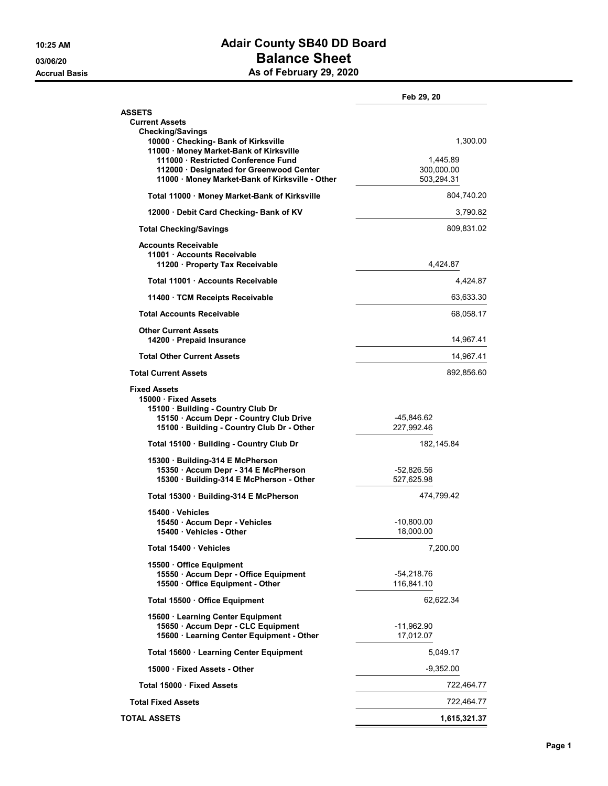## 10:25 AM **Adair County SB40 DD Board** 03/06/20 **Balance Sheet**

Accrual Basis **Accrual Basis** As of February 29, 2020

|                                                                                                                                                                          | Feb 29, 20                           |           |
|--------------------------------------------------------------------------------------------------------------------------------------------------------------------------|--------------------------------------|-----------|
| <b>ASSETS</b><br><b>Current Assets</b>                                                                                                                                   |                                      |           |
| <b>Checking/Savings</b><br>10000 Checking- Bank of Kirksville<br>11000 · Money Market-Bank of Kirksville                                                                 |                                      | 1,300.00  |
| 111000 Restricted Conference Fund<br>112000 · Designated for Greenwood Center<br>11000 · Money Market-Bank of Kirksville - Other                                         | 1,445.89<br>300,000.00<br>503,294.31 |           |
| Total 11000 · Money Market-Bank of Kirksville                                                                                                                            | 804,740.20                           |           |
| 12000 Debit Card Checking- Bank of KV                                                                                                                                    |                                      | 3,790.82  |
| <b>Total Checking/Savings</b>                                                                                                                                            | 809,831.02                           |           |
| <b>Accounts Receivable</b><br>11001 Accounts Receivable<br>11200 Property Tax Receivable                                                                                 | 4,424.87                             |           |
| Total 11001 Accounts Receivable                                                                                                                                          |                                      | 4,424.87  |
| 11400 TCM Receipts Receivable                                                                                                                                            |                                      | 63,633.30 |
| <b>Total Accounts Receivable</b>                                                                                                                                         |                                      | 68,058.17 |
| <b>Other Current Assets</b><br>14200 · Prepaid Insurance                                                                                                                 |                                      | 14,967.41 |
| <b>Total Other Current Assets</b>                                                                                                                                        |                                      | 14,967.41 |
| <b>Total Current Assets</b>                                                                                                                                              | 892,856.60                           |           |
| <b>Fixed Assets</b><br>15000 Fixed Assets<br>15100 · Building - Country Club Dr<br>15150 · Accum Depr - Country Club Drive<br>15100 · Building - Country Club Dr - Other | -45,846.62<br>227,992.46             |           |
| Total 15100 · Building - Country Club Dr                                                                                                                                 | 182, 145.84                          |           |
| 15300 Building-314 E McPherson<br>15350 · Accum Depr - 314 E McPherson<br>15300 · Building-314 E McPherson - Other                                                       | -52,826.56<br>527,625.98             |           |
| Total 15300 Building-314 E McPherson                                                                                                                                     | 474,799.42                           |           |
| 15400 · Vehicles                                                                                                                                                         |                                      |           |
| 15450 - Accum Depr - Vehicles<br>15400 Vehicles - Other                                                                                                                  | -10,800.00<br>18,000.00              |           |
| Total 15400 Vehicles                                                                                                                                                     | 7,200.00                             |           |
| 15500 Office Equipment<br>15550 · Accum Depr - Office Equipment<br>15500 Office Equipment - Other                                                                        | -54,218.76<br>116,841.10             |           |
| Total 15500 · Office Equipment                                                                                                                                           | 62,622.34                            |           |
| 15600 · Learning Center Equipment<br>15650 · Accum Depr - CLC Equipment<br>15600 · Learning Center Equipment - Other                                                     | -11,962.90<br>17,012.07              |           |
| Total 15600 · Learning Center Equipment                                                                                                                                  | 5,049.17                             |           |
| 15000 Fixed Assets - Other                                                                                                                                               | $-9,352.00$                          |           |
| Total 15000 · Fixed Assets                                                                                                                                               | 722,464.77                           |           |
| <b>Total Fixed Assets</b>                                                                                                                                                | 722,464.77                           |           |
| <b>TOTAL ASSETS</b>                                                                                                                                                      | 1,615,321.37                         |           |